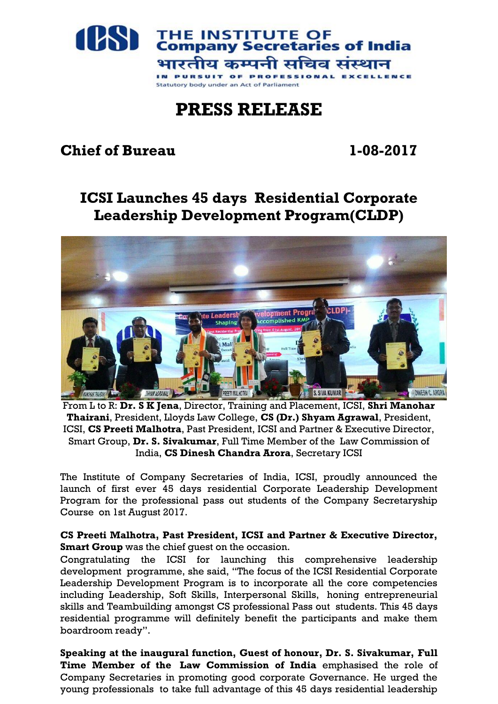

## **PRESS RELEASE**

## **Chief of Bureau 1-08-2017**

## **ICSI Launches 45 days Residential Corporate Leadership Development Program(CLDP)**



From L to R: **Dr. S K Jena**, Director, Training and Placement, ICSI, **Shri Manohar Thairani**, President, Lloyds Law College, **CS (Dr.) Shyam Agrawal**, President, ICSI, **CS Preeti Malhotra**, Past President, ICSI and Partner & Executive Director, Smart Group, **Dr. S. Sivakumar**, Full Time Member of the Law Commission of India, **CS Dinesh Chandra Arora**, Secretary ICSI

The Institute of Company Secretaries of India, ICSI, proudly announced the launch of first ever 45 days residential Corporate Leadership Development Program for the professional pass out students of the Company Secretaryship Course on 1st August 2017.

## **CS Preeti Malhotra, Past President, ICSI and Partner & Executive Director, Smart Group** was the chief guest on the occasion.

Congratulating the ICSI for launching this comprehensive leadership development programme, she said, "The focus of the ICSI Residential Corporate Leadership Development Program is to incorporate all the core competencies including Leadership, Soft Skills, Interpersonal Skills, honing entrepreneurial skills and Teambuilding amongst CS professional Pass out students. This 45 days residential programme will definitely benefit the participants and make them boardroom ready".

**Speaking at the inaugural function, Guest of honour, Dr. S. Sivakumar, Full Time Member of the Law Commission of India** emphasised the role of Company Secretaries in promoting good corporate Governance. He urged the young professionals to take full advantage of this 45 days residential leadership